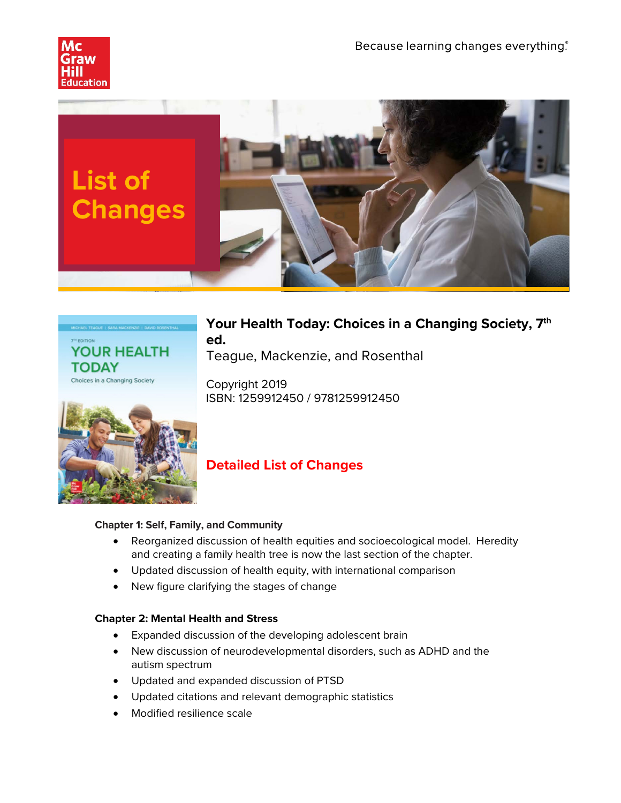





# **Your Health Today: Choices in a Changing Society, 7th ed.**

Teague, Mackenzie, and Rosenthal

Copyright 2019 ISBN: 1259912450 / 9781259912450



# **Detailed List of Changes**

## **Chapter 1: Self, Family, and Community**

- Reorganized discussion of health equities and socioecological model. Heredity and creating a family health tree is now the last section of the chapter.
- Updated discussion of health equity, with international comparison
- New figure clarifying the stages of change

# **Chapter 2: Mental Health and Stress**

- Expanded discussion of the developing adolescent brain
- New discussion of neurodevelopmental disorders, such as ADHD and the autism spectrum
- Updated and expanded discussion of PTSD
- Updated citations and relevant demographic statistics
- Modified resilience scale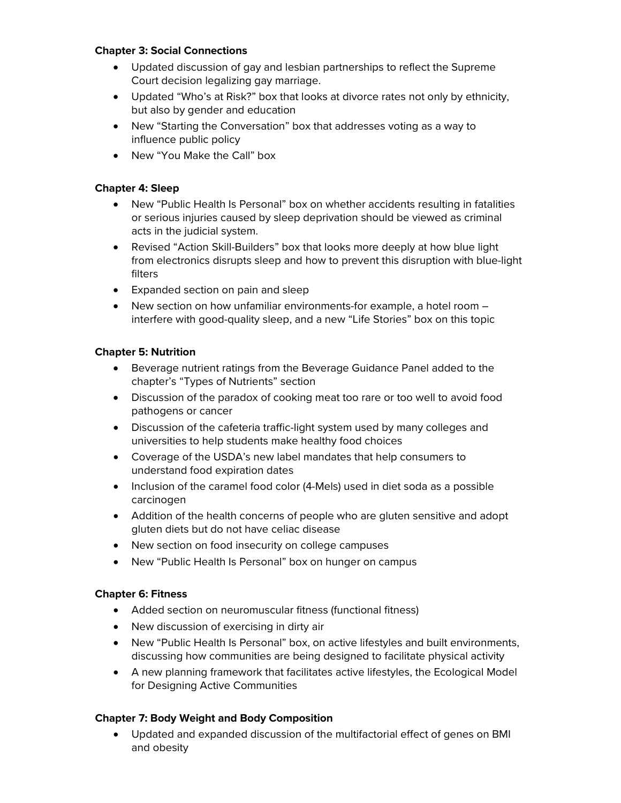#### **Chapter 3: Social Connections**

- Updated discussion of gay and lesbian partnerships to reflect the Supreme Court decision legalizing gay marriage.
- Updated "Who's at Risk?" box that looks at divorce rates not only by ethnicity, but also by gender and education
- New "Starting the Conversation" box that addresses voting as a way to influence public policy
- New "You Make the Call" box

## **Chapter 4: Sleep**

- New "Public Health Is Personal" box on whether accidents resulting in fatalities or serious injuries caused by sleep deprivation should be viewed as criminal acts in the judicial system.
- Revised "Action Skill-Builders" box that looks more deeply at how blue light from electronics disrupts sleep and how to prevent this disruption with blue-light filters
- Expanded section on pain and sleep
- New section on how unfamiliar environments-for example, a hotel room interfere with good-quality sleep, and a new "Life Stories" box on this topic

#### **Chapter 5: Nutrition**

- Beverage nutrient ratings from the Beverage Guidance Panel added to the chapter's "Types of Nutrients" section
- Discussion of the paradox of cooking meat too rare or too well to avoid food pathogens or cancer
- Discussion of the cafeteria traffic-light system used by many colleges and universities to help students make healthy food choices
- Coverage of the USDA's new label mandates that help consumers to understand food expiration dates
- Inclusion of the caramel food color (4-Mels) used in diet soda as a possible carcinogen
- Addition of the health concerns of people who are gluten sensitive and adopt gluten diets but do not have celiac disease
- New section on food insecurity on college campuses
- New "Public Health Is Personal" box on hunger on campus

#### **Chapter 6: Fitness**

- Added section on neuromuscular fitness (functional fitness)
- New discussion of exercising in dirty air
- New "Public Health Is Personal" box, on active lifestyles and built environments, discussing how communities are being designed to facilitate physical activity
- A new planning framework that facilitates active lifestyles, the Ecological Model for Designing Active Communities

## **Chapter 7: Body Weight and Body Composition**

• Updated and expanded discussion of the multifactorial effect of genes on BMI and obesity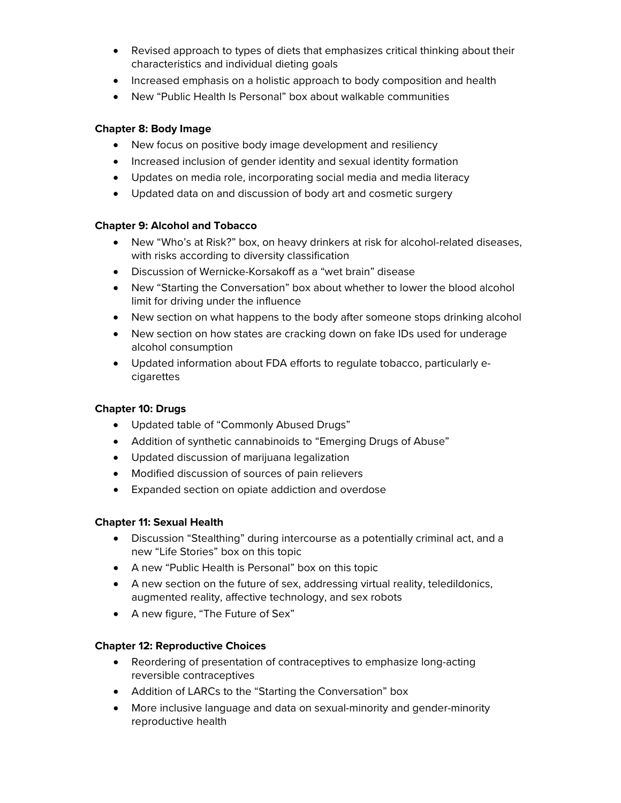- Revised approach to types of diets that emphasizes critical thinking about their characteristics and individual dieting goals
- Increased emphasis on a holistic approach to body composition and health
- New "Public Health Is Personal" box about walkable communities

## **Chapter 8: Body Image**

- New focus on positive body image development and resiliency
- Increased inclusion of gender identity and sexual identity formation
- Updates on media role, incorporating social media and media literacy
- Updated data on and discussion of body art and cosmetic surgery

## **Chapter 9: Alcohol and Tobacco**

- New "Who's at Risk?" box, on heavy drinkers at risk for alcohol-related diseases, with risks according to diversity classification
- Discussion of Wernicke-Korsakoff as a "wet brain" disease
- New "Starting the Conversation" box about whether to lower the blood alcohol limit for driving under the influence
- New section on what happens to the body after someone stops drinking alcohol
- New section on how states are cracking down on fake IDs used for underage alcohol consumption
- Updated information about FDA efforts to regulate tobacco, particularly ecigarettes

## **Chapter 10: Drugs**

- Updated table of "Commonly Abused Drugs"
- Addition of synthetic cannabinoids to "Emerging Drugs of Abuse"
- Updated discussion of marijuana legalization
- Modified discussion of sources of pain relievers
- Expanded section on opiate addiction and overdose

## **Chapter 11: Sexual Health**

- Discussion "Stealthing" during intercourse as a potentially criminal act, and a new "Life Stories" box on this topic
- A new "Public Health is Personal" box on this topic
- A new section on the future of sex, addressing virtual reality, teledildonics, augmented reality, affective technology, and sex robots
- A new figure, "The Future of Sex"

## **Chapter 12: Reproductive Choices**

- Reordering of presentation of contraceptives to emphasize long-acting reversible contraceptives
- Addition of LARCs to the "Starting the Conversation" box
- More inclusive language and data on sexual-minority and gender-minority reproductive health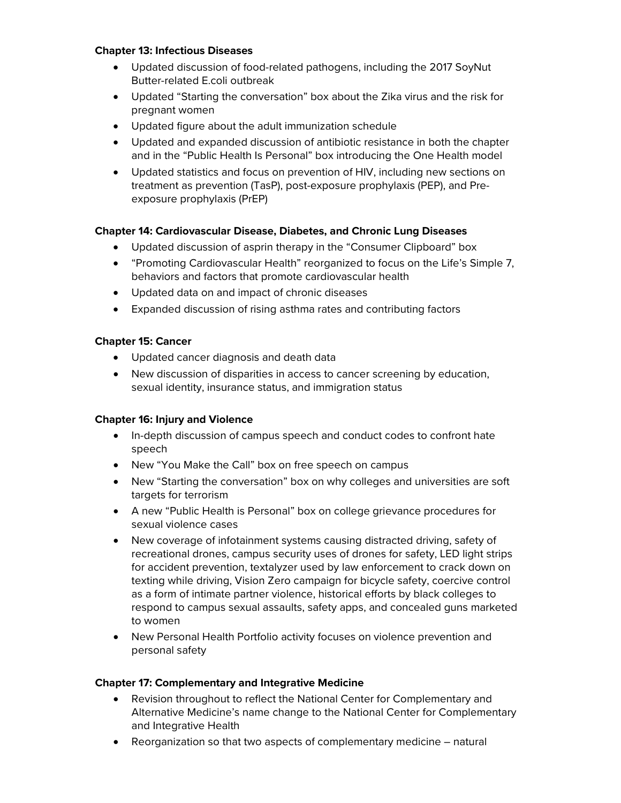#### **Chapter 13: Infectious Diseases**

- Updated discussion of food-related pathogens, including the 2017 SoyNut Butter-related E.coli outbreak
- Updated "Starting the conversation" box about the Zika virus and the risk for pregnant women
- Updated figure about the adult immunization schedule
- Updated and expanded discussion of antibiotic resistance in both the chapter and in the "Public Health Is Personal" box introducing the One Health model
- Updated statistics and focus on prevention of HIV, including new sections on treatment as prevention (TasP), post-exposure prophylaxis (PEP), and Preexposure prophylaxis (PrEP)

## **Chapter 14: Cardiovascular Disease, Diabetes, and Chronic Lung Diseases**

- Updated discussion of asprin therapy in the "Consumer Clipboard" box
- "Promoting Cardiovascular Health" reorganized to focus on the Life's Simple 7, behaviors and factors that promote cardiovascular health
- Updated data on and impact of chronic diseases
- Expanded discussion of rising asthma rates and contributing factors

## **Chapter 15: Cancer**

- Updated cancer diagnosis and death data
- New discussion of disparities in access to cancer screening by education, sexual identity, insurance status, and immigration status

## **Chapter 16: Injury and Violence**

- In-depth discussion of campus speech and conduct codes to confront hate speech
- New "You Make the Call" box on free speech on campus
- New "Starting the conversation" box on why colleges and universities are soft targets for terrorism
- A new "Public Health is Personal" box on college grievance procedures for sexual violence cases
- New coverage of infotainment systems causing distracted driving, safety of recreational drones, campus security uses of drones for safety, LED light strips for accident prevention, textalyzer used by law enforcement to crack down on texting while driving, Vision Zero campaign for bicycle safety, coercive control as a form of intimate partner violence, historical efforts by black colleges to respond to campus sexual assaults, safety apps, and concealed guns marketed to women
- New Personal Health Portfolio activity focuses on violence prevention and personal safety

## **Chapter 17: Complementary and Integrative Medicine**

- Revision throughout to reflect the National Center for Complementary and Alternative Medicine's name change to the National Center for Complementary and Integrative Health
- Reorganization so that two aspects of complementary medicine natural